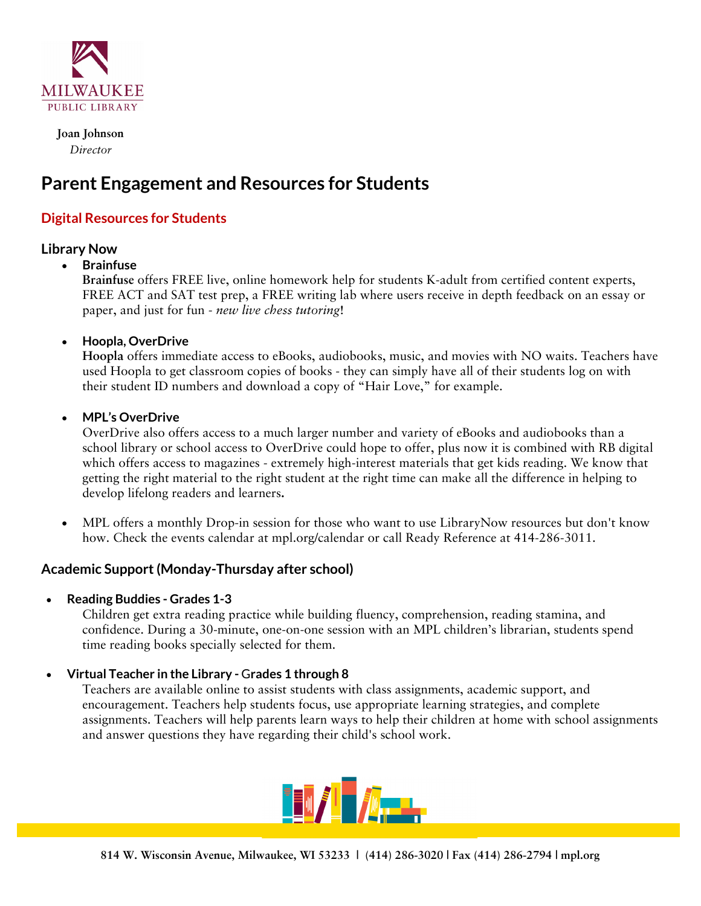

 **Joan Johnson**  *Director*

# **Parent Engagement and Resources for Students**

# **Digital Resources for Students**

# **Library Now**

# **Brainfuse**

**Brainfuse** offers FREE live, online homework help for students K-adult from certified content experts, FREE ACT and SAT test prep, a FREE writing lab where users receive in depth feedback on an essay or paper, and just for fun - *new live chess tutoring*!

# **Hoopla, OverDrive**

**Hoopla** offers immediate access to eBooks, audiobooks, music, and movies with NO waits. Teachers have used Hoopla to get classroom copies of books - they can simply have all of their students log on with their student ID numbers and download a copy of "Hair Love," for example.

#### **MPL's OverDrive**

OverDrive also offers access to a much larger number and variety of eBooks and audiobooks than a school library or school access to OverDrive could hope to offer, plus now it is combined with RB digital which offers access to magazines - extremely high-interest materials that get kids reading. We know that getting the right material to the right student at the right time can make all the difference in helping to develop lifelong readers and learners**.** 

 MPL offers a monthly Drop-in session for those who want to use LibraryNow resources but don't know how. Check the events calendar at mpl.org/calendar or call Ready Reference at 414-286-3011.

# **Academic Support (Monday-Thursday after school)**

#### **Reading Buddies - Grades 1-3**

Children get extra reading practice while building fluency, comprehension, reading stamina, and confidence. During a 30-minute, one-on-one session with an MPL children's librarian, students spend time reading books specially selected for them.

#### **Virtual Teacher in the Library -** G**rades 1 through 8**

Teachers are available online to assist students with class assignments, academic support, and encouragement. Teachers help students focus, use appropriate learning strategies, and complete assignments. Teachers will help parents learn ways to help their children at home with school assignments and answer questions they have regarding their child's school work.